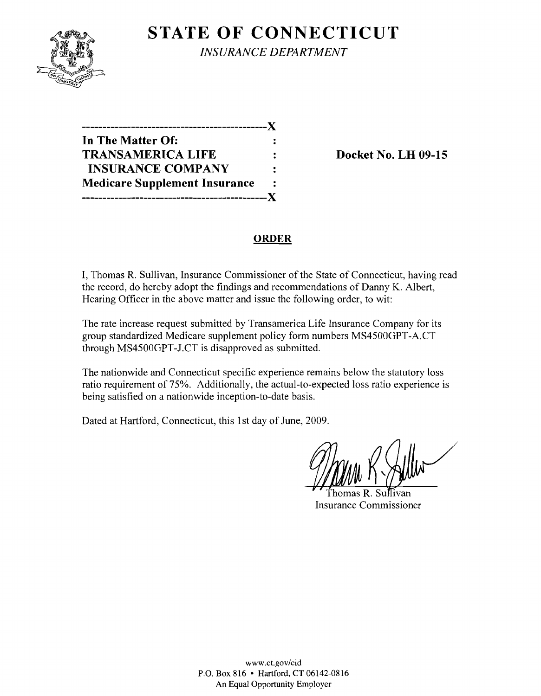

**STATE OF CONNECTICUT** *INSURANCE DEPARTMENT* 

| --------------                       |                      |
|--------------------------------------|----------------------|
| In The Matter Of:                    |                      |
| <b>TRANSAMERICA LIFE</b>             |                      |
| <b>INSURANCE COMPANY</b>             | ፡                    |
| <b>Medicare Supplement Insurance</b> | $\ddot{\phantom{a}}$ |
| -------------------------            |                      |

**Docket No. LH 09-15** 

### **ORDER**

I, Thomas R. Sullivan, Insurance Commissioner of the State of Connecticut, having read the record, do hereby adopt the findings and recommendations of Danny K. Albert, Hearing Officer in the above matter and issue the following order, to wit:

The rate increase request submitted by Transamerica Life Insurance Company for its group standardized Medicare supplement policy form numbers MS4500GPT-A.CT through MS4500GPT-J.CT is disapproved as submitted.

The nationwide and Connecticut specific experience remains below the statutory loss ratio requirement of 75%. Additionally, the actual-to-expected loss ratio experience is being satisfied on a nationwide inception-to-date basis.

Dated at Hartford, Connecticut, this 1st day of June, 2009.

Thomas R. Sullivan Insurance Commissioner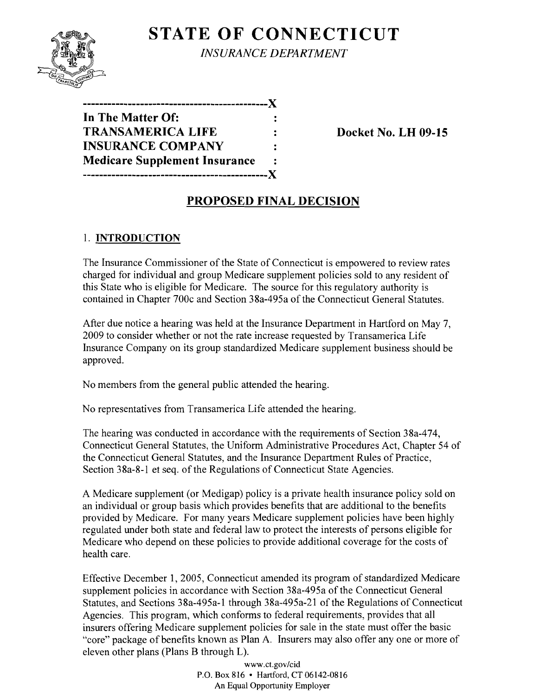

# **STATE OF CONNECTICUT** *INSURANCE DEPARTMENT*

**---------------------------------------------){ In The Matter Of: TRANSAMERICA LIFE : Docket No. LH 09-15 INSURANCE COMPANY Medicare Supplement Insurance** -----------------------------------X

## **PROPOSED FINAL DECISION**

### 1. **INTRODUCTION**

The Insurance Commissioner of the State of Connecticut is empowered to review rates charged for individual and group Medicare supplement policies sold to any resident of this State who is eligible for Medicare. The source for this regulatory authority is contained in Chapter 700c and Section 38a-495a of the Connecticut General Statutes.

After due notice a hearing was held at the Insurance Department in Hartford on May 7, 2009 to consider whether or not the rate increase requested by Transamerica Life Insurance Company on its group standardized Medicare supplement business should be approved.

No members from the general public attended the hearing.

No representatives from Transamerica Life attended the hearing.

The hearing was conducted in accordance with the requirements of Section 38a-474, Connecticut General Statutes, the Uniform Administrative Procedures Act, Chapter 54 of the Connecticut General Statutes, and the Insurance Department Rules of Practice, Section 38a-8-l et seq. of the Regulations of Connecticut State Agencies.

A Medicare supplement (or Medigap) policy is a private health insurance policy sold on an individual or group basis which provides benefits that are additional to the benefits provided by Medicare. For many years Medicare supplement policies have been highly regulated under both state and federal law to protect the interests of persons eligible for Medicare who depend on these policies to provide additional coverage for the costs of health care.

Effective December 1, 2005, Connecticut amended its program of standardized Medicare supplement policies in accordance with Section 38a-495a of the Connecticut General Statutes, and Sections 38a-495a-l through 38a-495a-21 of the Regulations of Connecticut Agencies. This program, which conforms to federal requirements, provides that all insurers offering Medicare supplement policies for sale in the state must offer the basic "core" package of benefits known as Plan A. Insurers may also offer anyone or more of eleven other plans (Plans B through L).

> www.ct.gov/cid P.O. Box 816 • Hartford, CT 06142-0816 An Equal Opportunity Employer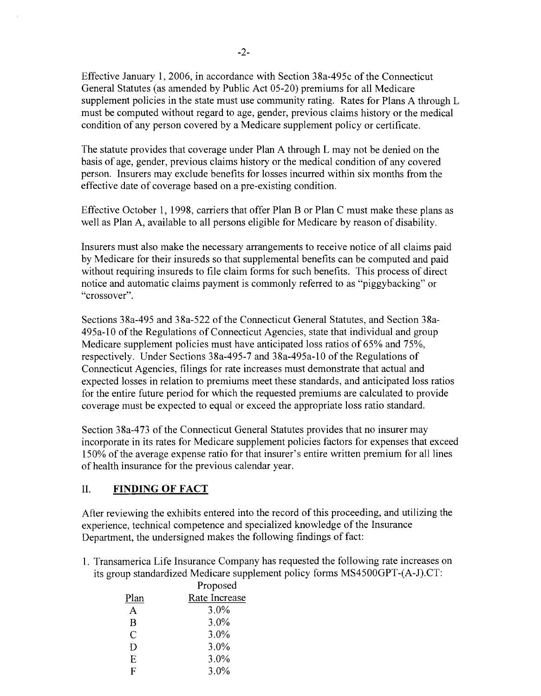Effective January 1,2006, in accordance with Section 38a-495c of the Connecticut General Statutes (as amended by Public Act 05-20) premiums for all Medicare supplement policies in the state must use community rating. Rates for Plans A through L must be computed without regard to age, gender, previous claims history or the medical condition of any person covered by a Medicare supplement policy or certificate.

The statute provides that coverage under Plan A through L may not be denied on the basis of age, gender, previous claims history or the medical condition of any covered person. Insurers may exclude benefits for losses incurred within six months from the effective date of coverage based on a pre-existing condition.

Effective October 1, 1998, carriers that offer Plan B or Plan C must make these plans as well as Plan A, available to all persons eligible for Medicare by reason of disability.

Insurers must also make the necessary arrangements to receive notice of all claims paid by Medicare for their insureds so that supplemental benefits can be computed and paid without requiring insureds to file claim forms for such benefits. This process of direct notice and automatic claims payment is commonly referred to as "piggybacking" or "crossover".

Sections 38a-495 and 38a-522 of the Connecticut General Statutes, and Section 38a-495a-l0 of the Regulations of Connecticut Agencies, state that individual and group Medicare supplement policies must have anticipated loss ratios of 65% and 75%, respectively. Under Sections 38a-495-7 and 38a-495a-10 of the Regulations of Connecticut Agencies, filings for rate increases must demonstrate that actual and expected losses in relation to premiums meet these standards, and anticipated loss ratios for the entire future period for which the requested premiums are calculated to provide coverage must be expected to equal or exceed the appropriate loss ratio standard.

Section 38a-473 of the Connecticut General Statutes provides that no insurer may incorporate in its rates for Medicare supplement policies factors for expenses that exceed 150% of the average expense ratio for that insurer's entire written premium for all lines of health insurance for the previous calendar year.

#### II. **FINDING OF FACT**

After reviewing the exhibits entered into the record of this proceeding, and utilizing the experience, technical competence and specialized knowledge of the Insurance Department, the undersigned makes the following findings of fact:

1. Transamerica Life Insurance Company has requested the following rate increases on its group standardized Medicare supplement policy forms MS4500GPT-(A-J).CT:

|      | Proposed      |
|------|---------------|
| Plan | Rate Increase |
| A    | 3.0%          |
| B    | 3.0%          |
| C    | $3.0\%$       |
| D    | $3.0\%$       |
| Ε    | 3.0%          |
| F    | 3.0%          |